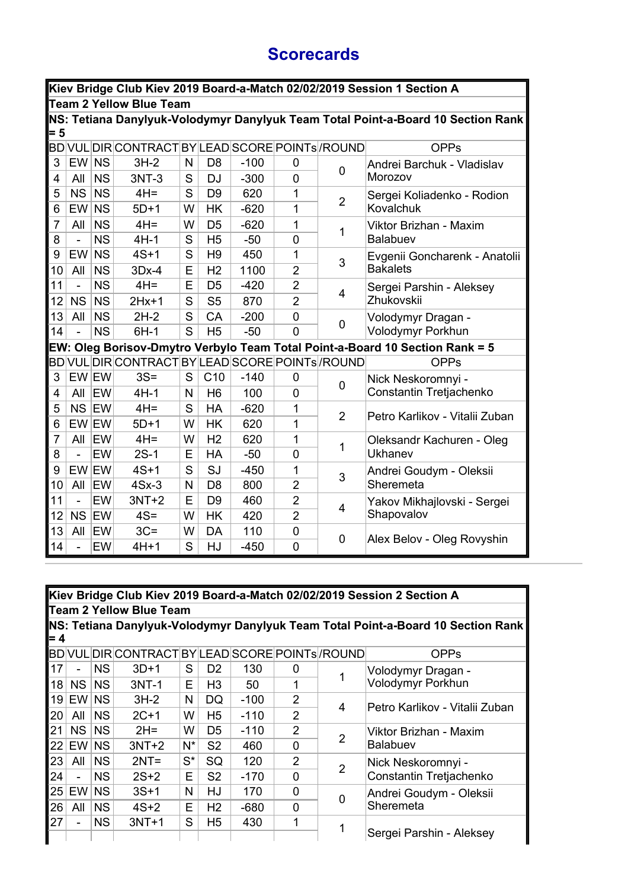## **Scorecards**

|                                | Kiev Bridge Club Kiev 2019 Board-a-Match 02/02/2019 Session 1 Section A |            |                                                              |   |                 |        |                |                |                                                                                  |  |  |
|--------------------------------|-------------------------------------------------------------------------|------------|--------------------------------------------------------------|---|-----------------|--------|----------------|----------------|----------------------------------------------------------------------------------|--|--|
| <b>Team 2 Yellow Blue Team</b> |                                                                         |            |                                                              |   |                 |        |                |                |                                                                                  |  |  |
|                                |                                                                         |            |                                                              |   |                 |        |                |                | NS: Tetiana Danylyuk-Volodymyr Danylyuk Team Total Point-a-Board 10 Section Rank |  |  |
| $= 5$                          |                                                                         |            |                                                              |   |                 |        |                |                |                                                                                  |  |  |
|                                |                                                                         |            | BD VUL DIR CONTRACT BY LEAD SCORE POINTs <sup> </sup> /ROUND |   |                 |        |                |                | <b>OPPs</b>                                                                      |  |  |
| 3                              | EW                                                                      | <b>NS</b>  | $3H-2$                                                       | N | D <sub>8</sub>  | $-100$ | $\overline{0}$ | 0              | Andrei Barchuk - Vladislav                                                       |  |  |
| 4                              | All                                                                     | <b>NS</b>  | 3NT-3                                                        | S | <b>DJ</b>       | $-300$ | 0              |                | Morozov                                                                          |  |  |
| 5                              | <b>NS</b>                                                               | <b>NS</b>  | $4H =$                                                       | S | D <sub>9</sub>  | 620    | 1              | $\overline{2}$ | Sergei Koliadenko - Rodion                                                       |  |  |
| 6                              | EW                                                                      | <b>NS</b>  | $5D+1$                                                       | W | <b>HK</b>       | $-620$ | 1              |                | Kovalchuk                                                                        |  |  |
| $\overline{7}$                 | All                                                                     | <b>NS</b>  | $4H =$                                                       | W | D <sub>5</sub>  | $-620$ | 1              | 1              | Viktor Brizhan - Maxim                                                           |  |  |
| 8                              | $\overline{a}$                                                          | <b>NS</b>  | $4H-1$                                                       | S | H <sub>5</sub>  | $-50$  | 0              |                | Balabuev                                                                         |  |  |
| 9                              | EW                                                                      | <b>NS</b>  | $4S+1$                                                       | S | H <sub>9</sub>  | 450    | 1              | 3              | Evgenii Goncharenk - Anatolii                                                    |  |  |
| 10                             | All                                                                     | <b>NS</b>  | $3Dx-4$                                                      | E | H <sub>2</sub>  | 1100   | $\overline{2}$ |                | <b>Bakalets</b>                                                                  |  |  |
| 11                             | $\overline{a}$                                                          | <b>NS</b>  | $4H =$                                                       | E | D <sub>5</sub>  | $-420$ | $\overline{2}$ | 4              | Sergei Parshin - Aleksey<br>Zhukovskii                                           |  |  |
| 12                             | NS                                                                      | <b>NS</b>  | $2Hx+1$                                                      | S | S <sub>5</sub>  | 870    | $\overline{2}$ |                |                                                                                  |  |  |
| 13                             | All                                                                     | <b>NS</b>  | $2H-2$                                                       | S | CA              | $-200$ | 0              |                | Volodymyr Dragan -<br>Volodymyr Porkhun                                          |  |  |
| 14                             |                                                                         | <b>NS</b>  | $6H-1$                                                       | S | H <sub>5</sub>  | $-50$  | $\overline{0}$ | 0              |                                                                                  |  |  |
|                                |                                                                         |            |                                                              |   |                 |        |                |                | EW: Oleg Borisov-Dmytro Verbylo Team Total Point-a-Board 10 Section Rank = 5     |  |  |
|                                |                                                                         |            | BD VUL DIR CONTRACT BY LEAD SCORE POINTs <sup> </sup> /ROUND |   |                 |        |                |                | <b>OPPs</b>                                                                      |  |  |
| 3                              | EW EW                                                                   |            | $3S =$                                                       | S | C <sub>10</sub> | $-140$ | 0              | 0              | Nick Neskoromnyi -                                                               |  |  |
| 4                              | All                                                                     | EW         | $4H-1$                                                       | N | H <sub>6</sub>  | 100    | $\mathbf 0$    |                | Constantin Tretjachenko                                                          |  |  |
| 5                              | NS EW                                                                   |            | $4H =$                                                       | S | HA              | $-620$ | 1              | $\overline{2}$ | Petro Karlikov - Vitalii Zuban                                                   |  |  |
| 6                              | EW EW                                                                   |            | $5D+1$                                                       | W | <b>HK</b>       | 620    | 1              |                |                                                                                  |  |  |
| $\overline{7}$                 | All                                                                     | EW         | $4H =$                                                       | W | H <sub>2</sub>  | 620    | 1              | 1              | Oleksandr Kachuren - Oleg                                                        |  |  |
| 8                              | ÷,                                                                      | EW         | $2S-1$                                                       | Е | <b>HA</b>       | $-50$  | 0              |                | Ukhanev                                                                          |  |  |
| 9                              | EW EW                                                                   |            | $4S+1$                                                       | S | SJ              | $-450$ | 1              | 3              | Andrei Goudym - Oleksii                                                          |  |  |
| 10                             | All                                                                     | <b>EW</b>  | $4Sx-3$                                                      | N | D <sub>8</sub>  | 800    | $\overline{2}$ |                | Sheremeta                                                                        |  |  |
| 11                             | ÷,                                                                      | EW         | $3NT+2$                                                      | E | D <sub>9</sub>  | 460    | $\overline{2}$ | 4              | Yakov Mikhajlovski - Sergei                                                      |  |  |
| 12                             | NS EW                                                                   |            | $4S =$                                                       | W | <b>HK</b>       | 420    | $\overline{2}$ |                | Shapovalov                                                                       |  |  |
| 13                             | All                                                                     | <b>IEW</b> | $3C =$                                                       | W | DA              | 110    | 0              | 0              |                                                                                  |  |  |
| 14                             | ÷,                                                                      | EW         | $4H+1$                                                       | S | HJ              | $-450$ | $\overline{0}$ |                | Alex Belov - Oleg Rovyshin                                                       |  |  |

|     | Kiev Bridge Club Kiev 2019 Board-a-Match 02/02/2019 Session 2 Section A<br>Team 2 Yellow Blue Team |           |                                                 |       |                |        |                |   |                                                                                  |  |  |
|-----|----------------------------------------------------------------------------------------------------|-----------|-------------------------------------------------|-------|----------------|--------|----------------|---|----------------------------------------------------------------------------------|--|--|
| = 4 |                                                                                                    |           |                                                 |       |                |        |                |   | NS: Tetiana Danylyuk-Volodymyr Danylyuk Team Total Point-a-Board 10 Section Rank |  |  |
|     |                                                                                                    |           | BD VUL DIR CONTRACT BY LEAD SCORE POINTs /ROUND |       |                |        |                |   | <b>OPPs</b>                                                                      |  |  |
| 17  |                                                                                                    | <b>NS</b> | $3D+1$                                          | S     | D <sub>2</sub> | 130    | 0              |   | Volodymyr Dragan -                                                               |  |  |
| 18  | NS                                                                                                 | <b>NS</b> | $3NT-1$                                         | E     | H3             | 50     | 1              |   | Volodymyr Porkhun                                                                |  |  |
| 19  | EW NS                                                                                              |           | $3H-2$                                          | N     | DQ             | $-100$ | $\overline{2}$ | 4 | Petro Karlikov - Vitalii Zuban                                                   |  |  |
| 20  | All                                                                                                | <b>NS</b> | $2C+1$                                          | W     | H <sub>5</sub> | $-110$ | 2              |   |                                                                                  |  |  |
| 21  | <b>NS</b>                                                                                          | <b>NS</b> | $2H =$                                          | W     | D <sub>5</sub> | $-110$ | $\overline{2}$ |   | Viktor Brizhan - Maxim<br><b>Balabuev</b>                                        |  |  |
| 22  | EW I                                                                                               | <b>NS</b> | $3NT+2$                                         | $N^*$ | S <sub>2</sub> | 460    | $\mathbf 0$    | 2 |                                                                                  |  |  |
| 23  | All                                                                                                | <b>NS</b> | $2NT =$                                         | $S^*$ | SQ             | 120    | $\overline{2}$ | 2 | Nick Neskoromnyi -                                                               |  |  |
| 24  |                                                                                                    | <b>NS</b> | $2S+2$                                          | E     | S <sub>2</sub> | $-170$ | 0              |   | Constantin Tretjachenko                                                          |  |  |
| 25  | EW                                                                                                 | <b>NS</b> | $3S+1$                                          | N     | HJ             | 170    | $\Omega$       | 0 | Andrei Goudym - Oleksii                                                          |  |  |
| 26  | All                                                                                                | <b>NS</b> | $4S+2$                                          | E     | H <sub>2</sub> | $-680$ | 0              |   | Sheremeta                                                                        |  |  |
| 27  |                                                                                                    | <b>NS</b> | $3NT+1$                                         | S     | H <sub>5</sub> | 430    | $\mathbf 1$    | 1 |                                                                                  |  |  |
|     |                                                                                                    |           |                                                 |       |                |        |                |   | Sergei Parshin - Aleksey                                                         |  |  |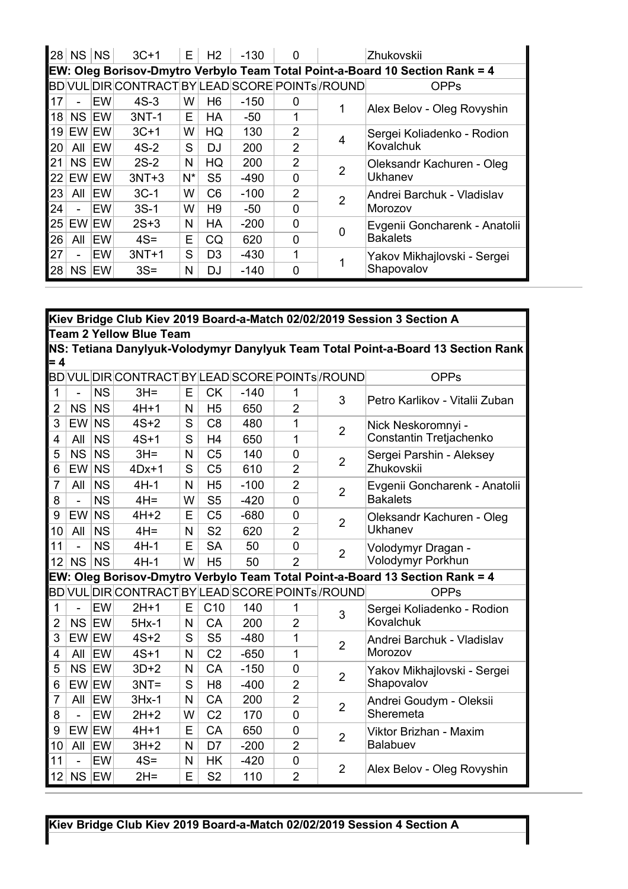|    | $28$ NS   | <b>NS</b>  | $3C+1$                                           | E     | H <sub>2</sub> | $-130$ | $\mathbf 0$    |   | Zhukovskii                                                                   |
|----|-----------|------------|--------------------------------------------------|-------|----------------|--------|----------------|---|------------------------------------------------------------------------------|
|    |           |            |                                                  |       |                |        |                |   | EW: Oleg Borisov-Dmytro Verbylo Team Total Point-a-Board 10 Section Rank = 4 |
|    |           |            | BD VUL DIR CONTRACT BY LEAD SCORE POINTS / ROUND |       |                |        |                |   | <b>OPPs</b>                                                                  |
| 17 |           | EW         | $4S-3$                                           | W     | H <sub>6</sub> | $-150$ | 0              |   | Alex Belov - Oleg Rovyshin                                                   |
| 18 | NS EW     |            | $3NT-1$                                          | E     | <b>HA</b>      | $-50$  | 1              |   |                                                                              |
| 19 | EW EW     |            | $3C+1$                                           | W     | HQ             | 130    | $\overline{2}$ |   | Sergei Koliadenko - Rodion                                                   |
| 20 | All       | <b>IEW</b> | $4S-2$                                           | S     | <b>DJ</b>      | 200    | $\overline{2}$ | 4 | Kovalchuk                                                                    |
| 21 | NS EW     |            | $2S-2$                                           | N     | HQ             | 200    | 2              | 2 | Oleksandr Kachuren - Oleg                                                    |
| 22 | EW EW     |            | $3NT+3$                                          | $N^*$ | S <sub>5</sub> | $-490$ | $\mathbf 0$    |   | Ukhanev                                                                      |
| 23 | All       | EW         | $3C-1$                                           | W     | C <sub>6</sub> | $-100$ | $\mathcal{P}$  | 2 | Andrei Barchuk - Vladislav                                                   |
| 24 |           | EW         | $3S-1$                                           | W     | H <sub>9</sub> | $-50$  | $\Omega$       |   | Morozov                                                                      |
| 25 | EW EW     |            | $2S+3$                                           | N     | <b>HA</b>      | $-200$ | $\mathbf 0$    |   | Evgenii Goncharenk - Anatolii                                                |
| 26 | All       | EW         | $4S =$                                           | E     | CQ             | 620    | $\mathbf 0$    |   | <b>Bakalets</b>                                                              |
| 27 |           | EW         | $3NT+1$                                          | S     | D <sub>3</sub> | $-430$ | 1              |   | Yakov Mikhajlovski - Sergei                                                  |
| 28 | <b>NS</b> | EW         | $3S =$                                           | N     | DJ             | $-140$ | 0              |   | Shapovalov                                                                   |

| Kiev Bridge Club Kiev 2019 Board-a-Match 02/02/2019 Session 3 Section A |           |           |                                                  |   |                 |        |                |                |                                                                                  |  |
|-------------------------------------------------------------------------|-----------|-----------|--------------------------------------------------|---|-----------------|--------|----------------|----------------|----------------------------------------------------------------------------------|--|
| <b>Team 2 Yellow Blue Team</b>                                          |           |           |                                                  |   |                 |        |                |                |                                                                                  |  |
|                                                                         |           |           |                                                  |   |                 |        |                |                | NS: Tetiana Danylyuk-Volodymyr Danylyuk Team Total Point-a-Board 13 Section Rank |  |
| $= 4$                                                                   |           |           |                                                  |   |                 |        |                |                |                                                                                  |  |
|                                                                         |           |           | BD VUL DIR CONTRACT BY LEAD SCORE POINTs /ROUND  |   |                 |        |                |                | <b>OPPs</b>                                                                      |  |
| $\mathbf{1}$                                                            | ÷,        | <b>NS</b> | $3H =$                                           | E | <b>CK</b>       | $-140$ | 1              | 3              | Petro Karlikov - Vitalii Zuban                                                   |  |
| $\overline{2}$                                                          | <b>NS</b> | <b>NS</b> | $4H+1$                                           | N | H <sub>5</sub>  | 650    | $\overline{2}$ |                |                                                                                  |  |
| 3                                                                       | EW        | <b>NS</b> | $4S+2$                                           | S | C <sub>8</sub>  | 480    | 1              | $\overline{2}$ | Nick Neskoromnyi -                                                               |  |
| 4                                                                       | All       | <b>NS</b> | $4S+1$                                           | S | H <sub>4</sub>  | 650    | 1              |                | Constantin Tretjachenko                                                          |  |
| 5                                                                       | <b>NS</b> | <b>NS</b> | $3H =$                                           | N | C <sub>5</sub>  | 140    | 0              | $\overline{2}$ | Sergei Parshin - Aleksey                                                         |  |
| 6                                                                       | EW        | <b>NS</b> | $4Dx+1$                                          | S | C <sub>5</sub>  | 610    | $\overline{2}$ |                | Zhukovskii                                                                       |  |
| $\overline{7}$                                                          | All       | <b>NS</b> | $4H-1$                                           | N | H <sub>5</sub>  | $-100$ | $\overline{2}$ | $\overline{2}$ | Evgenii Goncharenk - Anatolii                                                    |  |
| 8                                                                       | ÷,        | <b>NS</b> | $4H =$                                           | W | S <sub>5</sub>  | $-420$ | $\overline{0}$ |                | <b>Bakalets</b>                                                                  |  |
| 9                                                                       | EW        | <b>NS</b> | $4H+2$                                           | E | C <sub>5</sub>  | $-680$ | $\overline{0}$ | $\overline{2}$ | Oleksandr Kachuren - Oleg                                                        |  |
| 10                                                                      | All       | <b>NS</b> | $4H =$                                           | N | S <sub>2</sub>  | 620    | $\overline{2}$ |                | Ukhanev                                                                          |  |
| 11                                                                      | ÷,        | <b>NS</b> | $4H-1$                                           | E | <b>SA</b>       | 50     | $\overline{0}$ | $\overline{2}$ | Volodymyr Dragan -                                                               |  |
| 12                                                                      | <b>NS</b> | <b>NS</b> | $4H-1$                                           | W | H <sub>5</sub>  | 50     | $\overline{2}$ |                | Volodymyr Porkhun                                                                |  |
|                                                                         |           |           |                                                  |   |                 |        |                |                | EW: Oleg Borisov-Dmytro Verbylo Team Total Point-a-Board 13 Section Rank = 4     |  |
|                                                                         |           |           | BD VUL DIR CONTRACT BY LEAD SCORE POINTS / ROUND |   |                 |        |                |                | <b>OPPs</b>                                                                      |  |
| 1                                                                       |           | EW        | $2H+1$                                           | E | C <sub>10</sub> | 140    | 1              | 3              | Sergei Koliadenko - Rodion                                                       |  |
| 2                                                                       | NS EW     |           | $5Hx-1$                                          | N | <b>CA</b>       | 200    | $\overline{2}$ |                | Kovalchuk                                                                        |  |
| 3                                                                       | EW EW     |           | $4S+2$                                           | S | S <sub>5</sub>  | $-480$ | 1              | $\overline{2}$ | Andrei Barchuk - Vladislav                                                       |  |
| 4                                                                       | All       | EW        | $4S+1$                                           | N | C <sub>2</sub>  | $-650$ | 1              |                | Morozov                                                                          |  |
| 5                                                                       | NS EW     |           | $3D+2$                                           | N | CA              | $-150$ | $\overline{0}$ | $\overline{2}$ | Yakov Mikhajlovski - Sergei                                                      |  |
| 6                                                                       | EW EW     |           | $3NT =$                                          | S | H <sub>8</sub>  | $-400$ | $\overline{2}$ |                | Shapovalov                                                                       |  |
| $\overline{7}$                                                          | All       | ∣EW       | $3Hx-1$                                          | N | CA              | 200    | $\overline{2}$ | $\overline{2}$ | Andrei Goudym - Oleksii                                                          |  |
| 8                                                                       |           | EW        | $2H+2$                                           | W | C <sub>2</sub>  | 170    | $\overline{0}$ |                | Sheremeta                                                                        |  |
| 9                                                                       | EW EW     |           | $4H+1$                                           | E | CA              | 650    | $\overline{0}$ | $\overline{2}$ | Viktor Brizhan - Maxim                                                           |  |
| 10                                                                      | All       | EW        | $3H+2$                                           | N | D7              | $-200$ | $\overline{2}$ |                | Balabuev                                                                         |  |
| 11                                                                      |           | EW        | $4S =$                                           | N | <b>HK</b>       | $-420$ | $\mathbf 0$    | $\overline{2}$ |                                                                                  |  |
| 12                                                                      | NS EW     |           | $2H =$                                           | E | S <sub>2</sub>  | 110    | $\overline{2}$ |                | Alex Belov - Oleg Rovyshin                                                       |  |

**Kiev Bridge Club Kiev 2019 Board-a-Match 02/02/2019 Session 4 Section A**